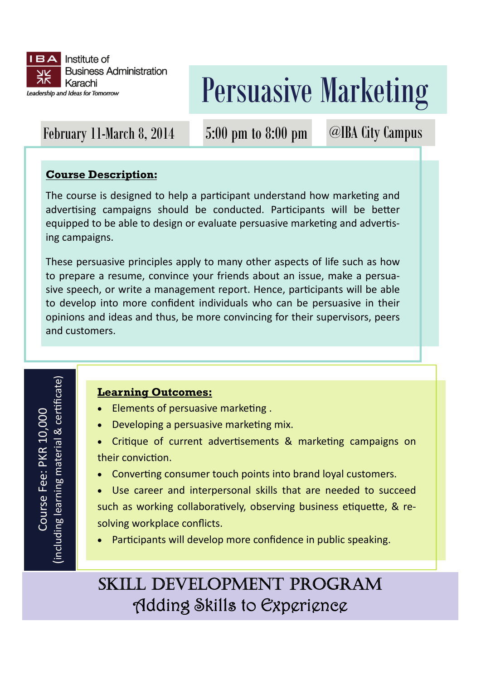

# Persuasive Marketing

### February 11-March 8, 2014 5:00 pm to 8:00 pm

@IBA City Campus

#### **Course Description:**

The course is designed to help a participant understand how marketing and advertising campaigns should be conducted. Participants will be better equipped to be able to design or evaluate persuasive marketing and advertising campaigns.

These persuasive principles apply to many other aspects of life such as how to prepare a resume, convince your friends about an issue, make a persuasive speech, or write a management report. Hence, participants will be able to develop into more confident individuals who can be persuasive in their opinions and ideas and thus, be more convincing for their supervisors, peers and customers.

## ficate)& cer Ɵ Course Fee: PKR 10,000 Course Fee: PKR 10,000 (including learning material

#### **Learning Outcomes:**

- Elements of persuasive marketing.
- Developing a persuasive marketing mix.
- Critique of current advertisements & marketing campaigns on their conviction.
- Converting consumer touch points into brand loyal customers.
- Use career and interpersonal skills that are needed to succeed such as working collaboratively, observing business etiquette, & resolving workplace conflicts.
- Participants will develop more confidence in public speaking.

### SKILL DEVELOPMENT PROGRAM Adding Skills to Experience